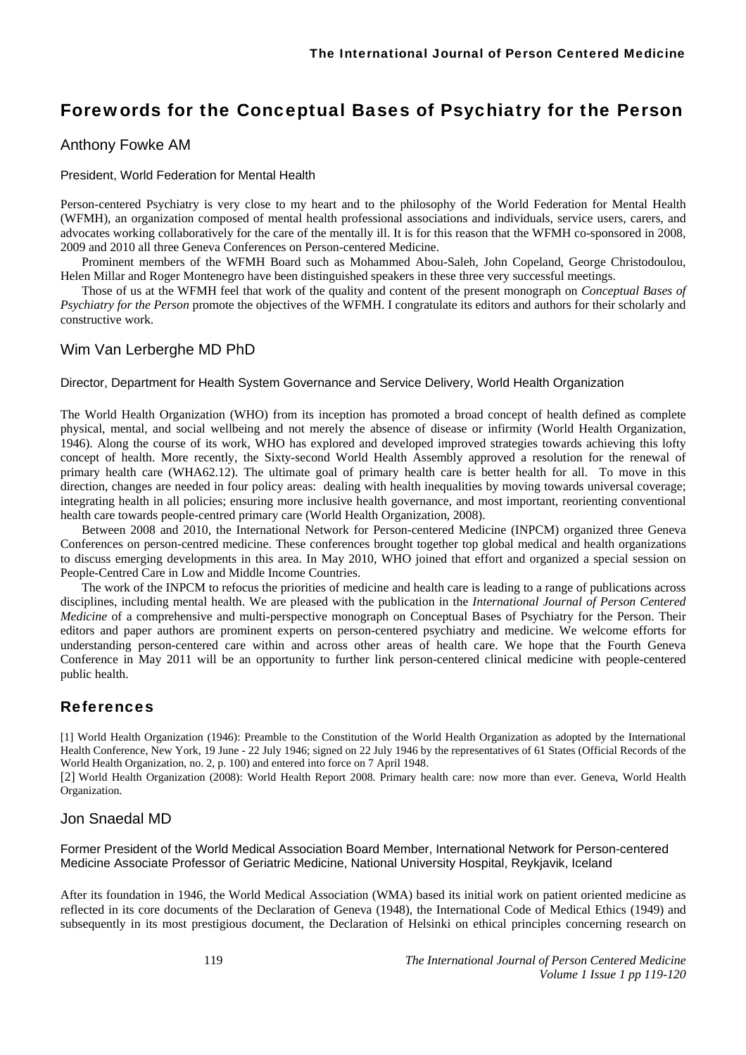# Forewords for the Conceptual Bases of Psychiatry for the Person

# Anthony Fowke AM

#### President, World Federation for Mental Health

Person-centered Psychiatry is very close to my heart and to the philosophy of the World Federation for Mental Health (WFMH), an organization composed of mental health professional associations and individuals, service users, carers, and advocates working collaboratively for the care of the mentally ill. It is for this reason that the WFMH co-sponsored in 2008, 2009 and 2010 all three Geneva Conferences on Person-centered Medicine.

Prominent members of the WFMH Board such as Mohammed Abou-Saleh, John Copeland, George Christodoulou, Helen Millar and Roger Montenegro have been distinguished speakers in these three very successful meetings.

Those of us at the WFMH feel that work of the quality and content of the present monograph on *Conceptual Bases of Psychiatry for the Person* promote the objectives of the WFMH. I congratulate its editors and authors for their scholarly and constructive work.

## Wim Van Lerberghe MD PhD

#### Director, Department for Health System Governance and Service Delivery, World Health Organization

The World Health Organization (WHO) from its inception has promoted a broad concept of health defined as complete physical, mental, and social wellbeing and not merely the absence of disease or infirmity (World Health Organization, 1946). Along the course of its work, WHO has explored and developed improved strategies towards achieving this lofty concept of health. More recently, the Sixty-second World Health Assembly approved a resolution for the renewal of primary health care (WHA62.12). The ultimate goal of primary health care is better health for all. To move in this direction, changes are needed in four policy areas: dealing with health inequalities by moving towards universal coverage; integrating health in all policies; ensuring more inclusive health governance, and most important, reorienting conventional health care towards people-centred primary care (World Health Organization, 2008).

Between 2008 and 2010, the International Network for Person-centered Medicine (INPCM) organized three Geneva Conferences on person-centred medicine. These conferences brought together top global medical and health organizations to discuss emerging developments in this area. In May 2010, WHO joined that effort and organized a special session on People-Centred Care in Low and Middle Income Countries.

The work of the INPCM to refocus the priorities of medicine and health care is leading to a range of publications across disciplines, including mental health. We are pleased with the publication in the *International Journal of Person Centered Medicine* of a comprehensive and multi-perspective monograph on Conceptual Bases of Psychiatry for the Person. Their editors and paper authors are prominent experts on person-centered psychiatry and medicine. We welcome efforts for understanding person-centered care within and across other areas of health care. We hope that the Fourth Geneva Conference in May 2011 will be an opportunity to further link person-centered clinical medicine with people-centered public health.

# References

[1] World Health Organization (1946): Preamble to the Constitution of the World Health Organization as adopted by the International Health Conference, New York, 19 June - 22 July 1946; signed on 22 July 1946 by the representatives of 61 States (Official Records of the World Health Organization, no. 2, p. 100) and entered into force on 7 April 1948.

[2] World Health Organization (2008): World Health Report 2008. Primary health care: now more than ever. Geneva, World Health Organization.

### Jon Snaedal MD

Former President of the World Medical Association Board Member, International Network for Person-centered Medicine Associate Professor of Geriatric Medicine, National University Hospital, Reykjavik, Iceland

After its foundation in 1946, the World Medical Association (WMA) based its initial work on patient oriented medicine as reflected in its core documents of the Declaration of Geneva (1948), the International Code of Medical Ethics (1949) and subsequently in its most prestigious document, the Declaration of Helsinki on ethical principles concerning research on